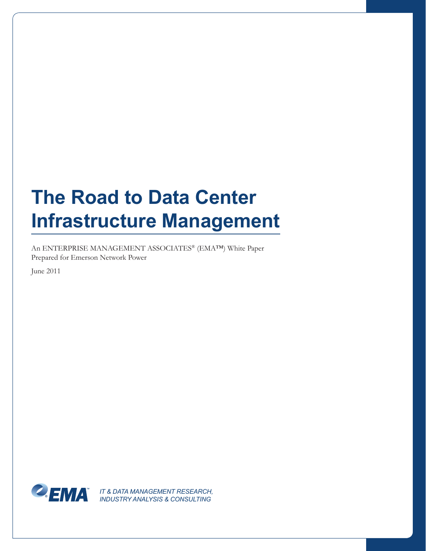# **The Road to Data Center Infrastructure Management**

An ENTERPRISE MANAGEMENT ASSOCIATES® (EMA™) White Paper Prepared for Emerson Network Power

June 2011



*IT & DATA MANAGEMENT RESEARCH, INDUSTRY ANALYSIS & CONSULTING*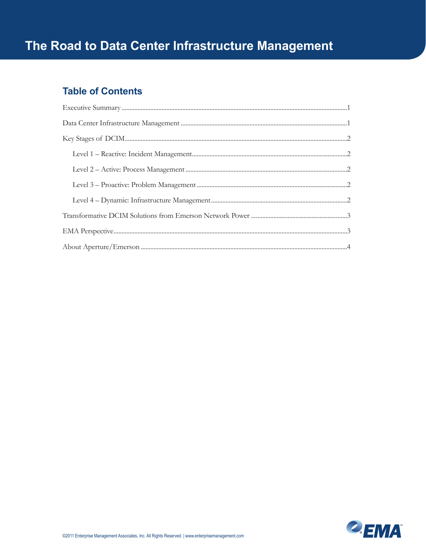# **Table of Contents**

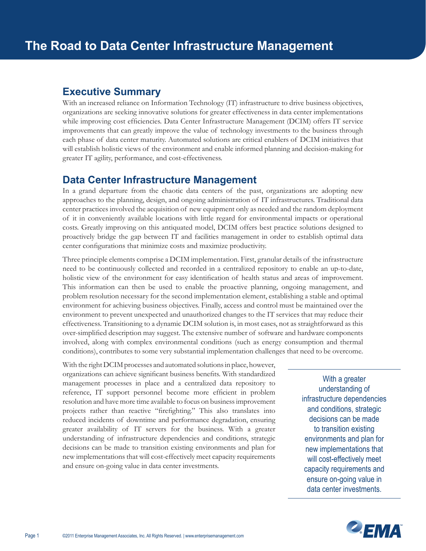### <span id="page-2-0"></span>**Executive Summary**

With an increased reliance on Information Technology (IT) infrastructure to drive business objectives, organizations are seeking innovative solutions for greater effectiveness in data center implementations while improving cost efficiencies. Data Center Infrastructure Management (DCIM) offers IT service improvements that can greatly improve the value of technology investments to the business through each phase of data center maturity. Automated solutions are critical enablers of DCIM initiatives that will establish holistic views of the environment and enable informed planning and decision-making for greater IT agility, performance, and cost-effectiveness.

## **Data Center Infrastructure Management**

In a grand departure from the chaotic data centers of the past, organizations are adopting new approaches to the planning, design, and ongoing administration of IT infrastructures. Traditional data center practices involved the acquisition of new equipment only as needed and the random deployment of it in conveniently available locations with little regard for environmental impacts or operational costs. Greatly improving on this antiquated model, DCIM offers best practice solutions designed to proactively bridge the gap between IT and facilities management in order to establish optimal data center configurations that minimize costs and maximize productivity.

Three principle elements comprise a DCIM implementation. First, granular details of the infrastructure need to be continuously collected and recorded in a centralized repository to enable an up-to-date, holistic view of the environment for easy identification of health status and areas of improvement. This information can then be used to enable the proactive planning, ongoing management, and problem resolution necessary for the second implementation element, establishing a stable and optimal environment for achieving business objectives. Finally, access and control must be maintained over the environment to prevent unexpected and unauthorized changes to the IT services that may reduce their effectiveness. Transitioning to a dynamic DCIM solution is, in most cases, not as straightforward as this over-simplified description may suggest. The extensive number of software and hardware components involved, along with complex environmental conditions (such as energy consumption and thermal conditions), contributes to some very substantial implementation challenges that need to be overcome.

With the right DCIM processes and automated solutions in place, however, organizations can achieve significant business benefits. With standardized management processes in place and a centralized data repository to reference, IT support personnel become more efficient in problem resolution and have more time available to focus on business improvement projects rather than reactive "firefighting." This also translates into reduced incidents of downtime and performance degradation, ensuring greater availability of IT servers for the business. With a greater understanding of infrastructure dependencies and conditions, strategic decisions can be made to transition existing environments and plan for new implementations that will cost-effectively meet capacity requirements and ensure on-going value in data center investments.

With a greater understanding of infrastructure dependencies and conditions, strategic decisions can be made to transition existing environments and plan for new implementations that will cost-effectively meet capacity requirements and ensure on-going value in data center investments.

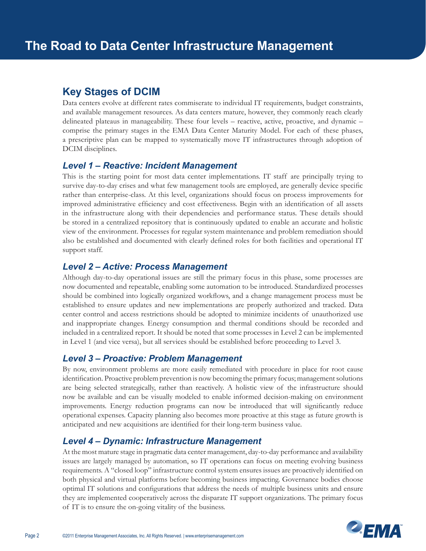## <span id="page-3-0"></span>**Key Stages of DCIM**

Data centers evolve at different rates commiserate to individual IT requirements, budget constraints, and available management resources. As data centers mature, however, they commonly reach clearly delineated plateaus in manageability. These four levels – reactive, active, proactive, and dynamic – comprise the primary stages in the EMA Data Center Maturity Model. For each of these phases, a prescriptive plan can be mapped to systematically move IT infrastructures through adoption of DCIM disciplines.

#### *Level 1 – Reactive: Incident Management*

This is the starting point for most data center implementations. IT staff are principally trying to survive day-to-day crises and what few management tools are employed, are generally device specific rather than enterprise-class. At this level, organizations should focus on process improvements for improved administrative efficiency and cost effectiveness. Begin with an identification of all assets in the infrastructure along with their dependencies and performance status. These details should be stored in a centralized repository that is continuously updated to enable an accurate and holistic view of the environment. Processes for regular system maintenance and problem remediation should also be established and documented with clearly defined roles for both facilities and operational IT support staff.

#### *Level 2 – Active: Process Management*

Although day-to-day operational issues are still the primary focus in this phase, some processes are now documented and repeatable, enabling some automation to be introduced. Standardized processes should be combined into logically organized workflows, and a change management process must be established to ensure updates and new implementations are properly authorized and tracked. Data center control and access restrictions should be adopted to minimize incidents of unauthorized use and inappropriate changes. Energy consumption and thermal conditions should be recorded and included in a centralized report. It should be noted that some processes in Level 2 can be implemented in Level 1 (and vice versa), but all services should be established before proceeding to Level 3.

#### *Level 3 – Proactive: Problem Management*

By now, environment problems are more easily remediated with procedure in place for root cause identification. Proactive problem prevention is now becoming the primary focus; management solutions are being selected strategically, rather than reactively. A holistic view of the infrastructure should now be available and can be visually modeled to enable informed decision-making on environment improvements. Energy reduction programs can now be introduced that will significantly reduce operational expenses. Capacity planning also becomes more proactive at this stage as future growth is anticipated and new acquisitions are identified for their long-term business value.

#### *Level 4 – Dynamic: Infrastructure Management*

At the most mature stage in pragmatic data center management, day-to-day performance and availability issues are largely managed by automation, so IT operations can focus on meeting evolving business requirements. A "closed loop" infrastructure control system ensures issues are proactively identified on both physical and virtual platforms before becoming business impacting. Governance bodies choose optimal IT solutions and configurations that address the needs of multiple business units and ensure they are implemented cooperatively across the disparate IT support organizations. The primary focus of IT is to ensure the on-going vitality of the business.

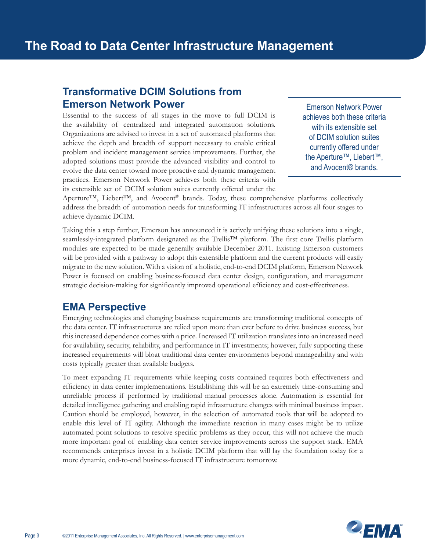## <span id="page-4-0"></span>**Transformative DCIM Solutions from Emerson Network Power**

Essential to the success of all stages in the move to full DCIM is the availability of centralized and integrated automation solutions. Organizations are advised to invest in a set of automated platforms that achieve the depth and breadth of support necessary to enable critical problem and incident management service improvements. Further, the adopted solutions must provide the advanced visibility and control to evolve the data center toward more proactive and dynamic management practices. Emerson Network Power achieves both these criteria with its extensible set of DCIM solution suites currently offered under the

Emerson Network Power achieves both these criteria with its extensible set of DCIM solution suites currently offered under the Aperture™, Liebert™, and Avocent® brands.

Aperture<sup>™,</sup> Liebert<sup>™</sup>, and Avocent<sup>®</sup> brands. Today, these comprehensive platforms collectively address the breadth of automation needs for transforming IT infrastructures across all four stages to achieve dynamic DCIM.

Taking this a step further, Emerson has announced it is actively unifying these solutions into a single, seamlessly-integrated platform designated as the Trellis™ platform. The first core Trellis platform modules are expected to be made generally available December 2011. Existing Emerson customers will be provided with a pathway to adopt this extensible platform and the current products will easily migrate to the new solution. With a vision of a holistic, end-to-end DCIM platform, Emerson Network Power is focused on enabling business-focused data center design, configuration, and management strategic decision-making for significantly improved operational efficiency and cost-effectiveness.

## **EMA Perspective**

Emerging technologies and changing business requirements are transforming traditional concepts of the data center. IT infrastructures are relied upon more than ever before to drive business success, but this increased dependence comes with a price. Increased IT utilization translates into an increased need for availability, security, reliability, and performance in IT investments; however, fully supporting these increased requirements will bloat traditional data center environments beyond manageability and with costs typically greater than available budgets.

To meet expanding IT requirements while keeping costs contained requires both effectiveness and efficiency in data center implementations. Establishing this will be an extremely time-consuming and unreliable process if performed by traditional manual processes alone. Automation is essential for detailed intelligence gathering and enabling rapid infrastructure changes with minimal business impact. Caution should be employed, however, in the selection of automated tools that will be adopted to enable this level of IT agility. Although the immediate reaction in many cases might be to utilize automated point solutions to resolve specific problems as they occur, this will not achieve the much more important goal of enabling data center service improvements across the support stack. EMA recommends enterprises invest in a holistic DCIM platform that will lay the foundation today for a more dynamic, end-to-end business-focused IT infrastructure tomorrow.